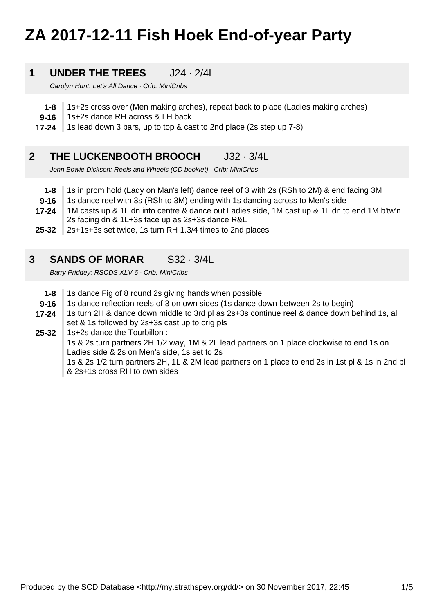# **ZA 2017-12-11 Fish Hoek End-of-year Party**

#### **1 UNDER THE TREES** J24 · 2/4L

Carolyn Hunt: Let's All Dance · Crib: MiniCribs

- **1-8** 1s+2s cross over (Men making arches), repeat back to place (Ladies making arches)
- **9-16** 1s+2s dance RH across & LH back
- **17-24** 1s lead down 3 bars, up to top & cast to 2nd place (2s step up 7-8)

#### **2 THE LUCKENBOOTH BROOCH** J32 · 3/4L

John Bowie Dickson: Reels and Wheels (CD booklet) · Crib: MiniCribs

- **1-8** 1s in prom hold (Lady on Man's left) dance reel of 3 with 2s (RSh to 2M) & end facing 3M
- **9-16** 1s dance reel with 3s (RSh to 3M) ending with 1s dancing across to Men's side
- **17-24** 1M casts up & 1L dn into centre & dance out Ladies side, 1M cast up & 1L dn to end 1M b'tw'n 2s facing dn & 1L+3s face up as 2s+3s dance R&L
- **25-32** 2s+1s+3s set twice, 1s turn RH 1.3/4 times to 2nd places

#### **3 SANDS OF MORAR** S32 · 3/4L

Barry Priddey: RSCDS XLV 6 · Crib: MiniCribs

- **1-8** 1s dance Fig of 8 round 2s giving hands when possible
- **9-16** 1s dance reflection reels of 3 on own sides (1s dance down between 2s to begin)
- **17-24** 1s turn 2H & dance down middle to 3rd pl as 2s+3s continue reel & dance down behind 1s, all set & 1s followed by 2s+3s cast up to orig pls
- **25-32** 1s+2s dance the Tourbillon :

1s & 2s turn partners 2H 1/2 way, 1M & 2L lead partners on 1 place clockwise to end 1s on Ladies side & 2s on Men's side, 1s set to 2s

1s & 2s 1/2 turn partners 2H, 1L & 2M lead partners on 1 place to end 2s in 1st pl & 1s in 2nd pl & 2s+1s cross RH to own sides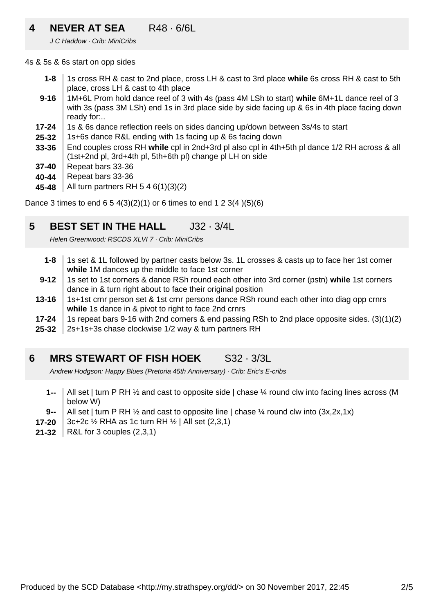### **4 NEVER AT SEA** R48 · 6/6L

J C Haddow · Crib: MiniCribs

4s & 5s & 6s start on opp sides

- **1-8** 1s cross RH & cast to 2nd place, cross LH & cast to 3rd place **while** 6s cross RH & cast to 5th place, cross LH & cast to 4th place
- **9-16** 1M+6L Prom hold dance reel of 3 with 4s (pass 4M LSh to start) **while** 6M+1L dance reel of 3 with 3s (pass 3M LSh) end 1s in 3rd place side by side facing up & 6s in 4th place facing down ready for:..
- **17-24** 1s & 6s dance reflection reels on sides dancing up/down between 3s/4s to start
- **25-32** 1s+6s dance R&L ending with 1s facing up & 6s facing down
- **33-36** End couples cross RH **while** cpl in 2nd+3rd pl also cpl in 4th+5th pl dance 1/2 RH across & all (1st+2nd pl, 3rd+4th pl, 5th+6th pl) change pl LH on side
- **37-40** Repeat bars 33-36
- **40-44** Repeat bars 33-36
- **45-48** All turn partners RH 5 4 6(1)(3)(2)

Dance 3 times to end  $6\ 5\ 4(3)(2)(1)$  or 6 times to end  $1\ 2\ 3(4)(5)(6)$ 

#### **5 BEST SET IN THE HALL J32 · 3/4L**

Helen Greenwood: RSCDS XLVI 7 · Crib: MiniCribs

- **1-8** 1s set & 1L followed by partner casts below 3s. 1L crosses & casts up to face her 1st corner **while** 1M dances up the middle to face 1st corner
- **9-12** 1s set to 1st corners & dance RSh round each other into 3rd corner (pstn) **while** 1st corners dance in & turn right about to face their original position
- **13-16** 1s+1st crnr person set & 1st crnr persons dance RSh round each other into diag opp crnrs **while** 1s dance in & pivot to right to face 2nd crnrs
- **17-24** 1s repeat bars 9-16 with 2nd corners & end passing RSh to 2nd place opposite sides. (3)(1)(2)
- **25-32** 2s+1s+3s chase clockwise 1/2 way & turn partners RH

#### **6 MRS STEWART OF FISH HOEK** S32 · 3/3L

Andrew Hodgson: Happy Blues (Pretoria 45th Anniversary) · Crib: Eric's E-cribs

- **1--** All set | turn P RH 1/2 and cast to opposite side | chase 1/4 round clw into facing lines across (M below W)
- **9--** All set | turn P RH  $\frac{1}{2}$  and cast to opposite line | chase  $\frac{1}{4}$  round clw into (3x,2x,1x)
- **17-20** 3c+2c ½ RHA as 1c turn RH ½ | All set (2,3,1)
- **21-32** R&L for 3 couples (2,3,1)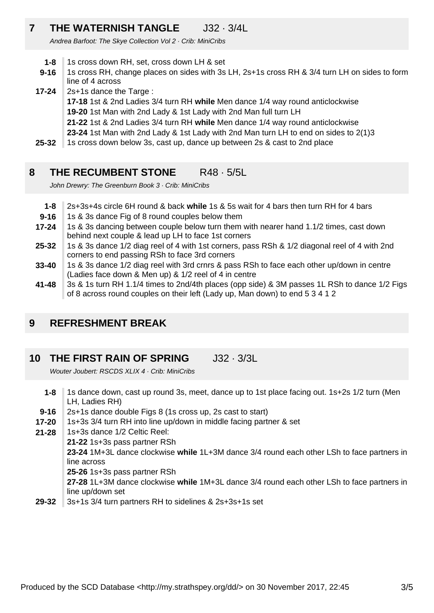### **7 THE WATERNISH TANGLE** J32 · 3/4L

Andrea Barfoot: The Skye Collection Vol 2 · Crib: MiniCribs

- **1-8** 1s cross down RH, set, cross down LH & set
- **9-16** 1s cross RH, change places on sides with 3s LH, 2s+1s cross RH & 3/4 turn LH on sides to form line of 4 across
- **17-24** 2s+1s dance the Targe :
	- **17-18** 1st & 2nd Ladies 3/4 turn RH **while** Men dance 1/4 way round anticlockwise
	- **19-20** 1st Man with 2nd Lady & 1st Lady with 2nd Man full turn LH
	- **21-22** 1st & 2nd Ladies 3/4 turn RH **while** Men dance 1/4 way round anticlockwise
	- **23-24** 1st Man with 2nd Lady & 1st Lady with 2nd Man turn LH to end on sides to 2(1)3
- **25-32** 1s cross down below 3s, cast up, dance up between 2s & cast to 2nd place

#### **8 THE RECUMBENT STONE** R48 · 5/5L

John Drewry: The Greenburn Book 3 · Crib: MiniCribs

- **1-8** 2s+3s+4s circle 6H round & back **while** 1s & 5s wait for 4 bars then turn RH for 4 bars
- **9-16** 1s & 3s dance Fig of 8 round couples below them
- **17-24** 1s & 3s dancing between couple below turn them with nearer hand 1.1/2 times, cast down behind next couple & lead up LH to face 1st corners
- **25-32** 1s & 3s dance 1/2 diag reel of 4 with 1st corners, pass RSh & 1/2 diagonal reel of 4 with 2nd corners to end passing RSh to face 3rd corners
- **33-40** 1s & 3s dance 1/2 diag reel with 3rd crnrs & pass RSh to face each other up/down in centre (Ladies face down & Men up) & 1/2 reel of 4 in centre
- **41-48** 3s & 1s turn RH 1.1/4 times to 2nd/4th places (opp side) & 3M passes 1L RSh to dance 1/2 Figs of 8 across round couples on their left (Lady up, Man down) to end 5 3 4 1 2

#### **9 REFRESHMENT BREAK**

#### **10 THE FIRST RAIN OF SPRING** J32 · 3/3L

Wouter Joubert: RSCDS XLIX 4 · Crib: MiniCribs

- **1-8** 1s dance down, cast up round 3s, meet, dance up to 1st place facing out. 1s+2s 1/2 turn (Men LH, Ladies RH)
- **9-16** 2s+1s dance double Figs 8 (1s cross up, 2s cast to start)
- **17-20** 1s+3s 3/4 turn RH into line up/down in middle facing partner & set
- **21-28** 1s+3s dance 1/2 Celtic Reel:
	- **21-22** 1s+3s pass partner RSh

**23-24** 1M+3L dance clockwise **while** 1L+3M dance 3/4 round each other LSh to face partners in line across

- **25-26** 1s+3s pass partner RSh
- **27-28** 1L+3M dance clockwise **while** 1M+3L dance 3/4 round each other LSh to face partners in line up/down set
- **29-32** 3s+1s 3/4 turn partners RH to sidelines & 2s+3s+1s set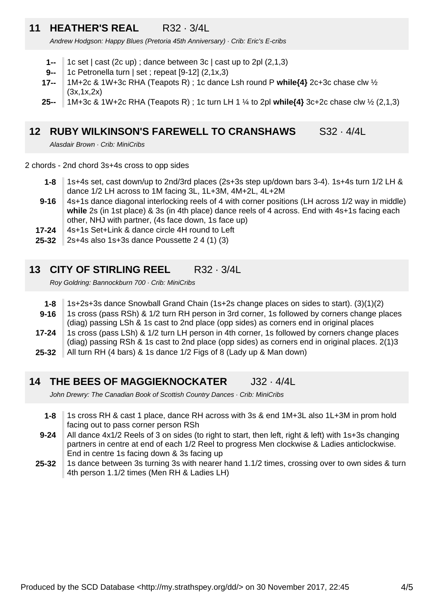### **11 HEATHER'S REAL** R32 · 3/4L

Andrew Hodgson: Happy Blues (Pretoria 45th Anniversary) · Crib: Eric's E-cribs

- **1--** 1c set | cast (2c up) ; dance between 3c | cast up to 2pl (2,1,3)
- **9--** 1c Petronella turn | set ; repeat [9-12] (2,1x,3)
- **17--** 1M+2c & 1W+3c RHA (Teapots R) ; 1c dance Lsh round P **while{4}** 2c+3c chase clw ½ (3x,1x,2x)
- **25--** 1M+3c & 1W+2c RHA (Teapots R) ; 1c turn LH 1 ¼ to 2pl **while{4}** 3c+2c chase clw ½ (2,1,3)

#### **12 RUBY WILKINSON'S FAREWELL TO CRANSHAWS** S32 · 4/4L

Alasdair Brown · Crib: MiniCribs

2 chords - 2nd chord 3s+4s cross to opp sides

- **1-8** 1s+4s set, cast down/up to 2nd/3rd places (2s+3s step up/down bars 3-4). 1s+4s turn 1/2 LH & dance 1/2 LH across to 1M facing 3L, 1L+3M, 4M+2L, 4L+2M
- **9-16** 4s+1s dance diagonal interlocking reels of 4 with corner positions (LH across 1/2 way in middle) **while** 2s (in 1st place) & 3s (in 4th place) dance reels of 4 across. End with 4s+1s facing each other, NHJ with partner, (4s face down, 1s face up)
- **17-24** 4s+1s Set+Link & dance circle 4H round to Left
- **25-32** 2s+4s also 1s+3s dance Poussette 2 4 (1) (3)

### **13 CITY OF STIRLING REEL** R32 · 3/4L

Roy Goldring: Bannockburn 700 · Crib: MiniCribs

- **1-8** 1s+2s+3s dance Snowball Grand Chain (1s+2s change places on sides to start). (3)(1)(2)
- **9-16** 1s cross (pass RSh) & 1/2 turn RH person in 3rd corner, 1s followed by corners change places (diag) passing LSh & 1s cast to 2nd place (opp sides) as corners end in original places
- **17-24** 1s cross (pass LSh) & 1/2 turn LH person in 4th corner, 1s followed by corners change places (diag) passing RSh & 1s cast to 2nd place (opp sides) as corners end in original places. 2(1)3
- **25-32** All turn RH (4 bars) & 1s dance 1/2 Figs of 8 (Lady up & Man down)

#### **14 THE BEES OF MAGGIEKNOCKATER** J32 · 4/4L

John Drewry: The Canadian Book of Scottish Country Dances · Crib: MiniCribs

- **1-8** 1s cross RH & cast 1 place, dance RH across with 3s & end 1M+3L also 1L+3M in prom hold facing out to pass corner person RSh
- **9-24** All dance 4x1/2 Reels of 3 on sides (to right to start, then left, right & left) with 1s+3s changing partners in centre at end of each 1/2 Reel to progress Men clockwise & Ladies anticlockwise. End in centre 1s facing down & 3s facing up
- **25-32** 1s dance between 3s turning 3s with nearer hand 1.1/2 times, crossing over to own sides & turn 4th person 1.1/2 times (Men RH & Ladies LH)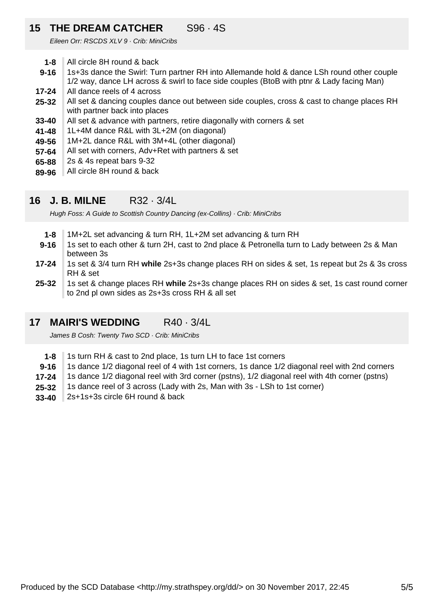### **15 THE DREAM CATCHER** S96 · 4S

Eileen Orr: RSCDS XLV 9 · Crib: MiniCribs

- **1-8** All circle 8H round & back
- **9-16** 1s+3s dance the Swirl: Turn partner RH into Allemande hold & dance LSh round other couple 1/2 way, dance LH across & swirl to face side couples (BtoB with ptnr & Lady facing Man)
- **17-24** All dance reels of 4 across
- **25-32** All set & dancing couples dance out between side couples, cross & cast to change places RH with partner back into places
- **33-40** All set & advance with partners, retire diagonally with corners & set
- **41-48** 1L+4M dance R&L with 3L+2M (on diagonal)
- **49-56** 1M+2L dance R&L with 3M+4L (other diagonal)
- **57-64** All set with corners, Adv+Ret with partners & set
- **65-88** 2s & 4s repeat bars 9-32
- **89-96** All circle 8H round & back

#### **16 J. B. MILNE** R32 · 3/4L

Hugh Foss: A Guide to Scottish Country Dancing (ex-Collins) · Crib: MiniCribs

- **1-8** 1M+2L set advancing & turn RH, 1L+2M set advancing & turn RH
- **9-16** 1s set to each other & turn 2H, cast to 2nd place & Petronella turn to Lady between 2s & Man between 3s
- **17-24** 1s set & 3/4 turn RH **while** 2s+3s change places RH on sides & set, 1s repeat but 2s & 3s cross RH & set
- **25-32** 1s set & change places RH **while** 2s+3s change places RH on sides & set, 1s cast round corner to 2nd pl own sides as 2s+3s cross RH & all set

#### **17 MAIRI'S WEDDING** R40 · 3/4L

James B Cosh: Twenty Two SCD · Crib: MiniCribs

- **1-8** 1s turn RH & cast to 2nd place, 1s turn LH to face 1st corners
- **9-16** 1s dance 1/2 diagonal reel of 4 with 1st corners, 1s dance 1/2 diagonal reel with 2nd corners
- **17-24** 1s dance 1/2 diagonal reel with 3rd corner (pstns), 1/2 diagonal reel with 4th corner (pstns)
- **25-32** 1s dance reel of 3 across (Lady with 2s, Man with 3s - LSh to 1st corner)
- **33-40** 2s+1s+3s circle 6H round & back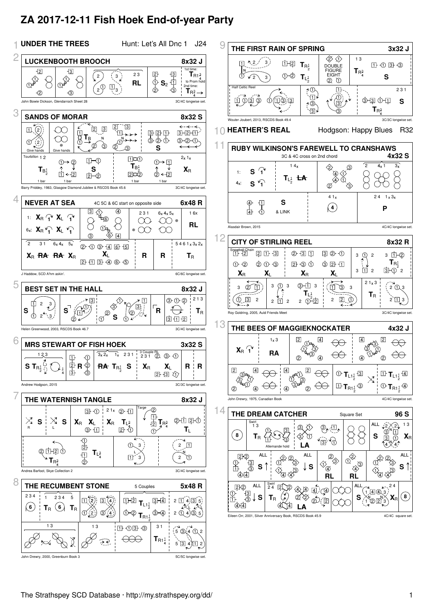# **ZA 2017-12-11 Fish Hoek End-of-year Party**